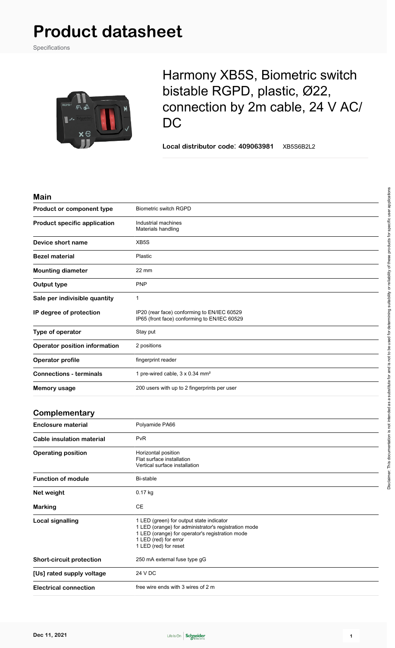# **Product datasheet**

Specifications



# Harmony XB5S, Biometric switch bistable RGPD, plastic, Ø22, connection by 2m cable, 24 V AC/ D<sub>C</sub>

**Local distributor code**: **409063981** XB5S6B2L2

| M<br>ı | ı<br>o | ı |
|--------|--------|---|
|        |        |   |

| <b>Biometric switch RGPD</b><br>Product or component type<br><b>Product specific application</b><br>Industrial machines<br>Materials handling<br>XB5S<br>Device short name<br>Plastic<br><b>Bezel material</b><br><b>Mounting diameter</b><br>$22 \text{ mm}$<br><b>PNP</b><br>Output type<br>Sale per indivisible quantity<br>$\mathbf{1}$<br>IP degree of protection<br>IP20 (rear face) conforming to EN/IEC 60529<br>IP65 (front face) conforming to EN/IEC 60529<br>Type of operator<br>Stay put<br><b>Operator position information</b><br>2 positions<br>fingerprint reader<br><b>Operator profile</b><br><b>Connections - terminals</b><br>1 pre-wired cable, 3 x 0.34 mm <sup>2</sup><br>200 users with up to 2 fingerprints per user<br>Memory usage<br>Complementary |  |
|---------------------------------------------------------------------------------------------------------------------------------------------------------------------------------------------------------------------------------------------------------------------------------------------------------------------------------------------------------------------------------------------------------------------------------------------------------------------------------------------------------------------------------------------------------------------------------------------------------------------------------------------------------------------------------------------------------------------------------------------------------------------------------|--|
|                                                                                                                                                                                                                                                                                                                                                                                                                                                                                                                                                                                                                                                                                                                                                                                 |  |
|                                                                                                                                                                                                                                                                                                                                                                                                                                                                                                                                                                                                                                                                                                                                                                                 |  |
|                                                                                                                                                                                                                                                                                                                                                                                                                                                                                                                                                                                                                                                                                                                                                                                 |  |
|                                                                                                                                                                                                                                                                                                                                                                                                                                                                                                                                                                                                                                                                                                                                                                                 |  |
|                                                                                                                                                                                                                                                                                                                                                                                                                                                                                                                                                                                                                                                                                                                                                                                 |  |
|                                                                                                                                                                                                                                                                                                                                                                                                                                                                                                                                                                                                                                                                                                                                                                                 |  |
|                                                                                                                                                                                                                                                                                                                                                                                                                                                                                                                                                                                                                                                                                                                                                                                 |  |
|                                                                                                                                                                                                                                                                                                                                                                                                                                                                                                                                                                                                                                                                                                                                                                                 |  |
|                                                                                                                                                                                                                                                                                                                                                                                                                                                                                                                                                                                                                                                                                                                                                                                 |  |
|                                                                                                                                                                                                                                                                                                                                                                                                                                                                                                                                                                                                                                                                                                                                                                                 |  |
|                                                                                                                                                                                                                                                                                                                                                                                                                                                                                                                                                                                                                                                                                                                                                                                 |  |
|                                                                                                                                                                                                                                                                                                                                                                                                                                                                                                                                                                                                                                                                                                                                                                                 |  |
|                                                                                                                                                                                                                                                                                                                                                                                                                                                                                                                                                                                                                                                                                                                                                                                 |  |
|                                                                                                                                                                                                                                                                                                                                                                                                                                                                                                                                                                                                                                                                                                                                                                                 |  |

| <b>Enclosure material</b>       | Polyamide PA66                                                                                                                                                                                        |
|---------------------------------|-------------------------------------------------------------------------------------------------------------------------------------------------------------------------------------------------------|
| Cable insulation material       | <b>PvR</b>                                                                                                                                                                                            |
| <b>Operating position</b>       | Horizontal position<br>Flat surface installation<br>Vertical surface installation                                                                                                                     |
| <b>Function of module</b>       | Bi-stable                                                                                                                                                                                             |
| Net weight                      | $0.17$ kg                                                                                                                                                                                             |
| <b>Marking</b>                  | <b>CE</b>                                                                                                                                                                                             |
| <b>Local signalling</b>         | 1 LED (green) for output state indicator<br>1 LED (orange) for administrator's registration mode<br>1 LED (orange) for operator's registration mode<br>1 LED (red) for error<br>1 LED (red) for reset |
| <b>Short-circuit protection</b> | 250 mA external fuse type gG                                                                                                                                                                          |
| [Us] rated supply voltage       | 24 V DC                                                                                                                                                                                               |
| <b>Electrical connection</b>    | free wire ends with 3 wires of 2 m                                                                                                                                                                    |

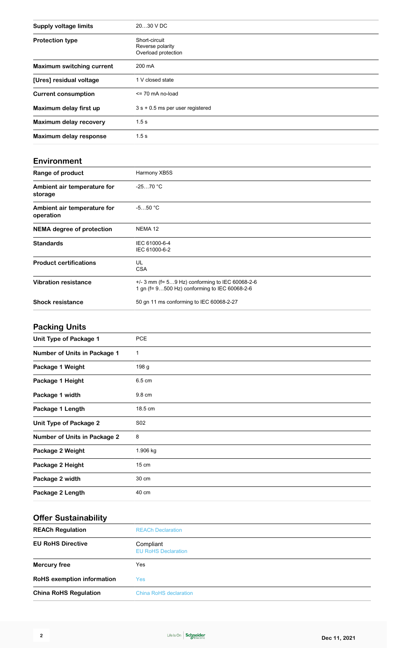| <b>Supply voltage limits</b>     | 2030 V DC                                                |
|----------------------------------|----------------------------------------------------------|
| <b>Protection type</b>           | Short-circuit<br>Reverse polarity<br>Overload protection |
| <b>Maximum switching current</b> | 200 mA                                                   |
| [Ures] residual voltage          | 1 V closed state                                         |
| <b>Current consumption</b>       | $\le$ 70 mA no-load                                      |
| Maximum delay first up           | $3 s + 0.5$ ms per user registered                       |
| <b>Maximum delay recovery</b>    | 1.5s                                                     |
| Maximum delay response           | 1.5s                                                     |

#### **Environment**

| Range of product                         | Harmony XB5S                                                                                       |
|------------------------------------------|----------------------------------------------------------------------------------------------------|
| Ambient air temperature for<br>storage   | $-2570 °C$                                                                                         |
| Ambient air temperature for<br>operation | $-550 °C$                                                                                          |
| <b>NEMA</b> degree of protection         | NEMA <sub>12</sub>                                                                                 |
| <b>Standards</b>                         | IEC 61000-6-4<br>IEC 61000-6-2                                                                     |
| <b>Product certifications</b>            | UL<br><b>CSA</b>                                                                                   |
| <b>Vibration resistance</b>              | $+/-$ 3 mm (f= 59 Hz) conforming to IEC 60068-2-6<br>1 gn (f= 9500 Hz) conforming to IEC 60068-2-6 |
| <b>Shock resistance</b>                  | 50 gn 11 ms conforming to IEC 60068-2-27                                                           |

# **Packing Units**

| Unit Type of Package 1              | <b>PCE</b>      |
|-------------------------------------|-----------------|
| Number of Units in Package 1        | 1               |
| Package 1 Weight                    | 198 g           |
| Package 1 Height                    | 6.5 cm          |
| Package 1 width                     | 9.8 cm          |
| Package 1 Length                    | 18.5 cm         |
| <b>Unit Type of Package 2</b>       | S <sub>02</sub> |
| <b>Number of Units in Package 2</b> | 8               |
| Package 2 Weight                    | 1.906 kg        |
| Package 2 Height                    | $15 \text{ cm}$ |
| Package 2 width                     | 30 cm           |
| Package 2 Length                    | 40 cm           |
|                                     |                 |

### **Offer Sustainability**

| <b>REACh Regulation</b>           | <b>REACh Declaration</b>                |  |
|-----------------------------------|-----------------------------------------|--|
| <b>EU RoHS Directive</b>          | Compliant<br><b>EU RoHS Declaration</b> |  |
| <b>Mercury free</b>               | Yes                                     |  |
| <b>RoHS</b> exemption information | Yes                                     |  |
| <b>China RoHS Regulation</b>      | <b>China RoHS declaration</b>           |  |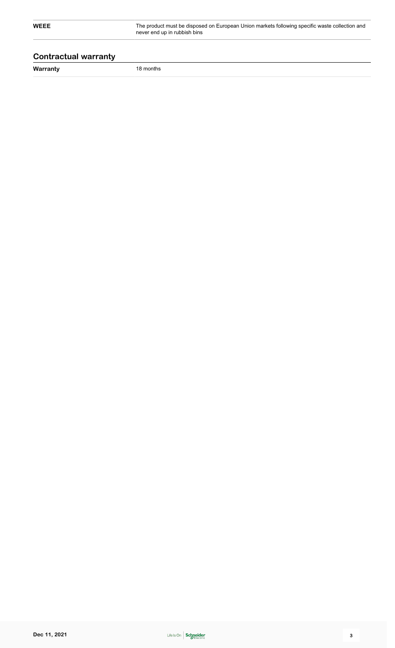**WEEE** The product must be disposed on European Union markets following specific waste collection and never end up in rubbish bins

### **Contractual warranty**

**Warranty** 18 months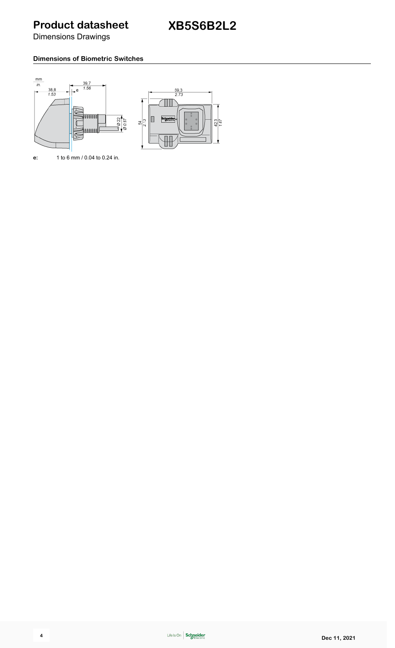**Product datasheet**

Dimensions Drawings

#### **Dimensions of Biometric Switches**



**e:** 1 to 6 mm / 0.04 to 0.24 in.